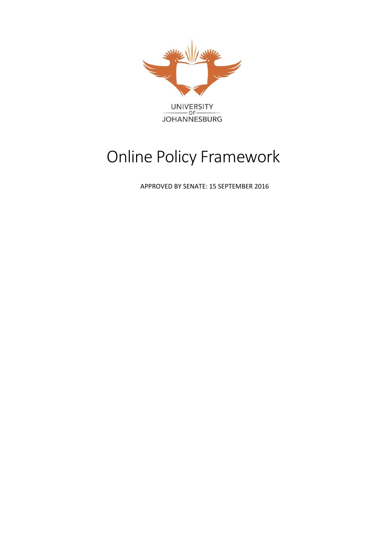

# Online Policy Framework

APPROVED BY SENATE: 15 SEPTEMBER 2016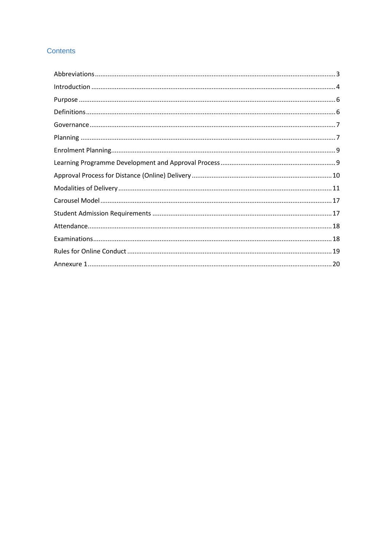#### **Contents**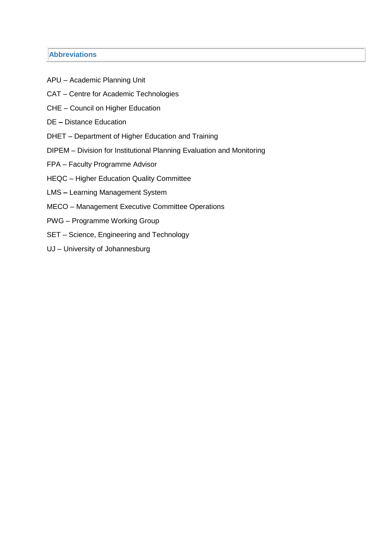#### <span id="page-2-0"></span>**Abbreviations**

- APU Academic Planning Unit
- CAT Centre for Academic Technologies
- CHE Council on Higher Education
- DE **–** Distance Education
- DHET Department of Higher Education and Training
- DIPEM Division for Institutional Planning Evaluation and Monitoring
- FPA Faculty Programme Advisor
- HEQC Higher Education Quality Committee
- LMS **–** Learning Management System
- MECO Management Executive Committee Operations
- PWG Programme Working Group
- SET Science, Engineering and Technology
- UJ University of Johannesburg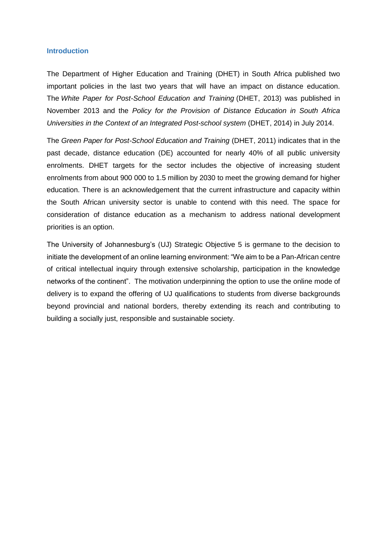#### <span id="page-3-0"></span>**Introduction**

The Department of Higher Education and Training (DHET) in South Africa published two important policies in the last two years that will have an impact on distance education. The *White Paper for Post-School Education and Training* (DHET, 2013) was published in November 2013 and the *Policy for the Provision of Distance Education in South Africa Universities in the Context of an Integrated Post-school system* (DHET, 2014) in July 2014.

The *Green Paper for Post-School Education and Training* (DHET, 2011) indicates that in the past decade, distance education (DE) accounted for nearly 40% of all public university enrolments. DHET targets for the sector includes the objective of increasing student enrolments from about 900 000 to 1.5 million by 2030 to meet the growing demand for higher education. There is an acknowledgement that the current infrastructure and capacity within the South African university sector is unable to contend with this need. The space for consideration of distance education as a mechanism to address national development priorities is an option.

The University of Johannesburg's (UJ) Strategic Objective 5 is germane to the decision to initiate the development of an online learning environment: "We aim to be a Pan-African centre of critical intellectual inquiry through extensive scholarship, participation in the knowledge networks of the continent". The motivation underpinning the option to use the online mode of delivery is to expand the offering of UJ qualifications to students from diverse backgrounds beyond provincial and national borders, thereby extending its reach and contributing to building a socially just, responsible and sustainable society.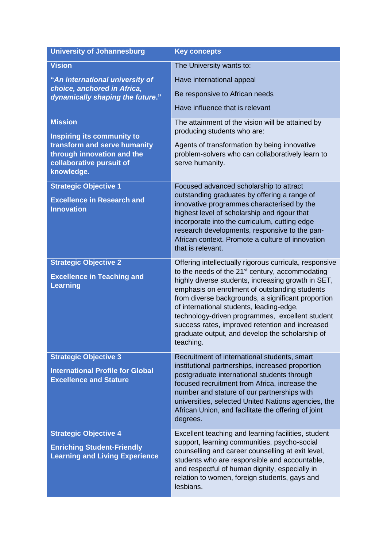| <b>University of Johannesburg</b>                                                                          | <b>Key concepts</b>                                                                                                                                                                                                                                                                                                                                                                                                                                                                                  |
|------------------------------------------------------------------------------------------------------------|------------------------------------------------------------------------------------------------------------------------------------------------------------------------------------------------------------------------------------------------------------------------------------------------------------------------------------------------------------------------------------------------------------------------------------------------------------------------------------------------------|
| <b>Vision</b>                                                                                              | The University wants to:                                                                                                                                                                                                                                                                                                                                                                                                                                                                             |
| "An international university of                                                                            | Have international appeal                                                                                                                                                                                                                                                                                                                                                                                                                                                                            |
| choice, anchored in Africa,<br>dynamically shaping the future."                                            | Be responsive to African needs                                                                                                                                                                                                                                                                                                                                                                                                                                                                       |
|                                                                                                            | Have influence that is relevant                                                                                                                                                                                                                                                                                                                                                                                                                                                                      |
| <b>Mission</b><br><b>Inspiring its community to</b>                                                        | The attainment of the vision will be attained by<br>producing students who are:                                                                                                                                                                                                                                                                                                                                                                                                                      |
| transform and serve humanity<br>through innovation and the<br>collaborative pursuit of<br>knowledge.       | Agents of transformation by being innovative<br>problem-solvers who can collaboratively learn to<br>serve humanity.                                                                                                                                                                                                                                                                                                                                                                                  |
| <b>Strategic Objective 1</b><br><b>Excellence in Research and</b><br><b>Innovation</b>                     | Focused advanced scholarship to attract<br>outstanding graduates by offering a range of<br>innovative programmes characterised by the<br>highest level of scholarship and rigour that<br>incorporate into the curriculum, cutting edge<br>research developments, responsive to the pan-<br>African context. Promote a culture of innovation<br>that is relevant.                                                                                                                                     |
| <b>Strategic Objective 2</b><br><b>Excellence in Teaching and</b><br><b>Learning</b>                       | Offering intellectually rigorous curricula, responsive<br>to the needs of the 21 <sup>st</sup> century, accommodating<br>highly diverse students, increasing growth in SET,<br>emphasis on enrolment of outstanding students<br>from diverse backgrounds, a significant proportion<br>of international students, leading-edge,<br>technology-driven programmes, excellent student<br>success rates, improved retention and increased<br>graduate output, and develop the scholarship of<br>teaching. |
| <b>Strategic Objective 3</b><br><b>International Profile for Global</b><br><b>Excellence and Stature</b>   | Recruitment of international students, smart<br>institutional partnerships, increased proportion<br>postgraduate international students through<br>focused recruitment from Africa, increase the<br>number and stature of our partnerships with<br>universities, selected United Nations agencies, the<br>African Union, and facilitate the offering of joint<br>degrees.                                                                                                                            |
| <b>Strategic Objective 4</b><br><b>Enriching Student-Friendly</b><br><b>Learning and Living Experience</b> | Excellent teaching and learning facilities, student<br>support, learning communities, psycho-social<br>counselling and career counselling at exit level,<br>students who are responsible and accountable,<br>and respectful of human dignity, especially in<br>relation to women, foreign students, gays and<br>lesbians.                                                                                                                                                                            |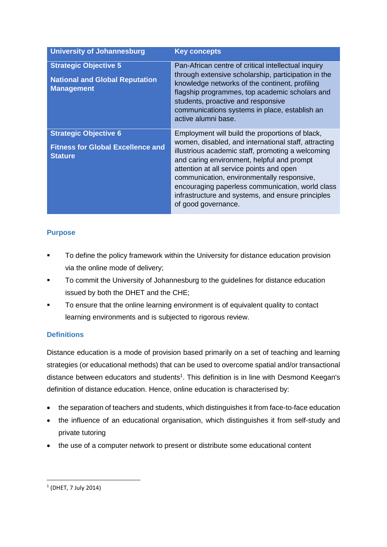| <b>University of Johannesburg</b>                                                          | <b>Key concepts</b>                                                                                                                                                                                                                                                                                                                                                                                                                  |
|--------------------------------------------------------------------------------------------|--------------------------------------------------------------------------------------------------------------------------------------------------------------------------------------------------------------------------------------------------------------------------------------------------------------------------------------------------------------------------------------------------------------------------------------|
| <b>Strategic Objective 5</b><br><b>National and Global Reputation</b><br><b>Management</b> | Pan-African centre of critical intellectual inquiry<br>through extensive scholarship, participation in the<br>knowledge networks of the continent, profiling<br>flagship programmes, top academic scholars and<br>students, proactive and responsive<br>communications systems in place, establish an<br>active alumni base.                                                                                                         |
| <b>Strategic Objective 6</b><br><b>Fitness for Global Excellence and</b><br><b>Stature</b> | Employment will build the proportions of black,<br>women, disabled, and international staff, attracting<br>illustrious academic staff, promoting a welcoming<br>and caring environment, helpful and prompt<br>attention at all service points and open<br>communication, environmentally responsive,<br>encouraging paperless communication, world class<br>infrastructure and systems, and ensure principles<br>of good governance. |

# <span id="page-5-0"></span>**Purpose**

- To define the policy framework within the University for distance education provision via the online mode of delivery;
- To commit the University of Johannesburg to the guidelines for distance education issued by both the DHET and the CHE;
- To ensure that the online learning environment is of equivalent quality to contact learning environments and is subjected to rigorous review.

# <span id="page-5-1"></span>**Definitions**

Distance education is a mode of provision based primarily on a set of teaching and learning strategies (or educational methods) that can be used to overcome spatial and/or transactional distance between educators and students<sup>1</sup>. This definition is in line with Desmond Keegan's definition of distance education. Hence, online education is characterised by:

- the separation of teachers and students, which distinguishes it from face-to-face education
- the influence of an educational organisation, which distinguishes it from self-study and private tutoring
- the use of a computer network to present or distribute some educational content

**.** 

<sup>1</sup> (DHET, 7 July 2014)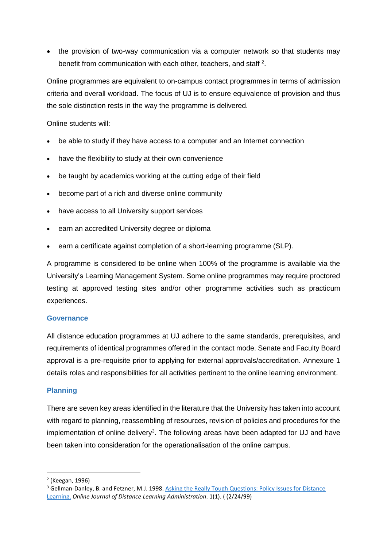• the provision of two-way communication via a computer network so that students may benefit from communication with each other, teachers, and staff<sup>2</sup>.

Online programmes are equivalent to on-campus contact programmes in terms of admission criteria and overall workload. The focus of UJ is to ensure equivalence of provision and thus the sole distinction rests in the way the programme is delivered.

Online students will:

- be able to study if they have access to a computer and an Internet connection
- have the flexibility to study at their own convenience
- be taught by academics working at the cutting edge of their field
- become part of a rich and diverse online community
- have access to all University support services
- earn an accredited University degree or diploma
- earn a certificate against completion of a short-learning programme (SLP).

A programme is considered to be online when 100% of the programme is available via the University's Learning Management System. Some online programmes may require proctored testing at approved testing sites and/or other programme activities such as practicum experiences.

#### <span id="page-6-0"></span>**Governance**

All distance education programmes at UJ adhere to the same standards, prerequisites, and requirements of identical programmes offered in the contact mode. Senate and Faculty Board approval is a pre-requisite prior to applying for external approvals/accreditation. Annexure 1 details roles and responsibilities for all activities pertinent to the online learning environment.

#### <span id="page-6-1"></span>**Planning**

There are seven key areas identified in the literature that the University has taken into account with regard to planning, reassembling of resources, revision of policies and procedures for the implementation of online delivery<sup>3</sup>. The following areas have been adapted for UJ and have been taken into consideration for the operationalisation of the online campus.

**.** 

<sup>2</sup> (Keegan, 1996)

<sup>&</sup>lt;sup>3</sup> Gellman-Danley, B. and Fetzner, M.J. 1998. Asking the Really Tough Questions: Policy Issues for Distance [Learning.](http://www.westga.edu/~distance/danley11.html) *Online Journal of Distance Learning Administration*. 1(1). ( (2/24/99)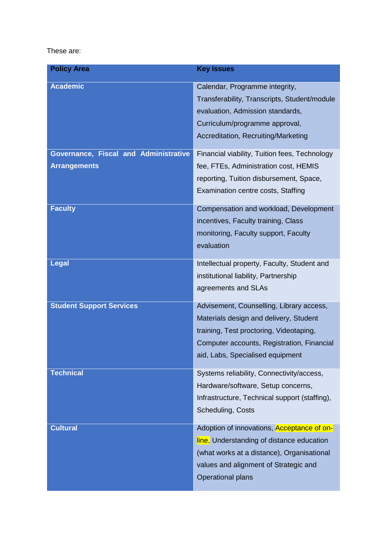### These are:

| <b>Policy Area</b>                    | <b>Key Issues</b>                                                                                                                                                                                               |
|---------------------------------------|-----------------------------------------------------------------------------------------------------------------------------------------------------------------------------------------------------------------|
| <b>Academic</b>                       | Calendar, Programme integrity,<br>Transferability, Transcripts, Student/module<br>evaluation, Admission standards,<br>Curriculum/programme approval,<br>Accreditation, Recruiting/Marketing                     |
| Governance, Fiscal and Administrative | Financial viability, Tuition fees, Technology                                                                                                                                                                   |
| <b>Arrangements</b>                   | fee, FTEs, Administration cost, HEMIS<br>reporting, Tuition disbursement, Space,<br>Examination centre costs, Staffing                                                                                          |
| <b>Faculty</b>                        | Compensation and workload, Development<br>incentives, Faculty training, Class<br>monitoring, Faculty support, Faculty<br>evaluation                                                                             |
| <b>Legal</b>                          | Intellectual property, Faculty, Student and<br>institutional liability, Partnership<br>agreements and SLAs                                                                                                      |
| <b>Student Support Services</b>       | Advisement, Counselling, Library access,<br>Materials design and delivery, Student<br>training, Test proctoring, Videotaping,<br>Computer accounts, Registration, Financial<br>aid, Labs, Specialised equipment |
| <b>Technical</b>                      | Systems reliability, Connectivity/access,<br>Hardware/software, Setup concerns,<br>Infrastructure, Technical support (staffing),<br>Scheduling, Costs                                                           |
| <b>Cultural</b>                       | Adoption of innovations, Acceptance of on-<br>line, Understanding of distance education<br>(what works at a distance), Organisational<br>values and alignment of Strategic and<br><b>Operational plans</b>      |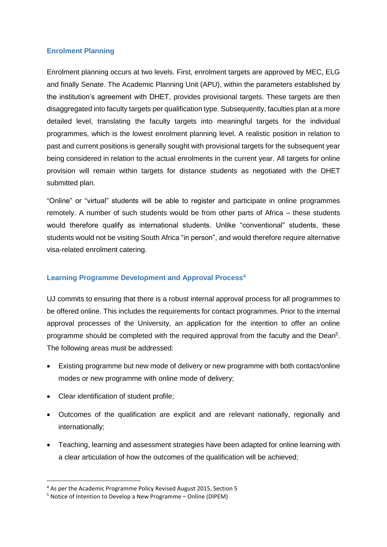#### <span id="page-8-0"></span>**Enrolment Planning**

Enrolment planning occurs at two levels. First, enrolment targets are approved by MEC, ELG and finally Senate. The Academic Planning Unit (APU), within the parameters established by the institution's agreement with DHET, provides provisional targets. These targets are then disaggregated into faculty targets per qualification type. Subsequently, faculties plan at a more detailed level, translating the faculty targets into meaningful targets for the individual programmes, which is the lowest enrolment planning level. A realistic position in relation to past and current positions is generally sought with provisional targets for the subsequent year being considered in relation to the actual enrolments in the current year. All targets for online provision will remain within targets for distance students as negotiated with the DHET submitted plan.

"Online" or "virtual" students will be able to register and participate in online programmes remotely. A number of such students would be from other parts of Africa – these students would therefore qualify as international students. Unlike "conventional" students, these students would not be visiting South Africa "in person", and would therefore require alternative visa-related enrolment catering.

#### <span id="page-8-1"></span>**Learning Programme Development and Approval Process<sup>4</sup>**

UJ commits to ensuring that there is a robust internal approval process for all programmes to be offered online. This includes the requirements for contact programmes. Prior to the internal approval processes of the University, an application for the intention to offer an online programme should be completed with the required approval from the faculty and the Dean<sup>5</sup>. The following areas must be addressed:

- Existing programme but new mode of delivery or new programme with both contact/online modes or new programme with online mode of delivery;
- Clear identification of student profile;

1

- Outcomes of the qualification are explicit and are relevant nationally, regionally and internationally;
- Teaching, learning and assessment strategies have been adapted for online learning with a clear articulation of how the outcomes of the qualification will be achieved;

<sup>4</sup> As per the Academic Programme Policy Revised August 2015, Section 5

<sup>5</sup> Notice of Intention to Develop a New Programme – Online (DIPEM)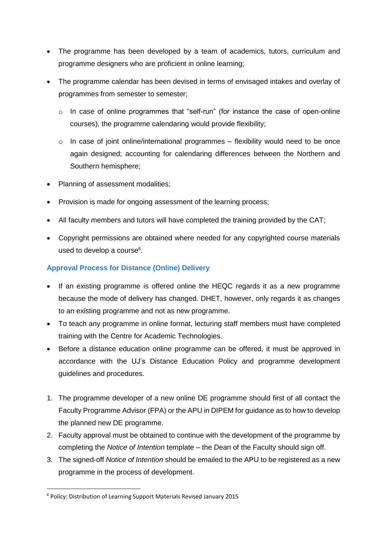- The programme has been developed by a team of academics, tutors, curriculum and programme designers who are proficient in online learning;
- The programme calendar has been devised in terms of envisaged intakes and overlay of programmes from semester to semester;
	- $\circ$  In case of online programmes that "self-run" (for instance the case of open-online courses), the programme calendaring would provide flexibility;
	- $\circ$  In case of joint online/international programmes flexibility would need to be once again designed; accounting for calendaring differences between the Northern and Southern hemisphere;
- Planning of assessment modalities;
- Provision is made for ongoing assessment of the learning process;
- All faculty members and tutors will have completed the training provided by the CAT;
- Copyright permissions are obtained where needed for any copyrighted course materials used to develop a course<sup>6</sup>.

# <span id="page-9-0"></span>**Approval Process for Distance (Online) Delivery**

- If an existing programme is offered online the HEQC regards it as a new programme because the mode of delivery has changed. DHET, however, only regards it as changes to an existing programme and not as new programme.
- To teach any programme in online format, lecturing staff members must have completed training with the Centre for Academic Technologies.
- Before a distance education online programme can be offered, it must be approved in accordance with the UJ's Distance Education Policy and programme development guidelines and procedures.
- 1. The programme developer of a new online DE programme should first of all contact the Faculty Programme Advisor (FPA) or the APU in DIPEM for guidance as to how to develop the planned new DE programme.
- 2. Faculty approval must be obtained to continue with the development of the programme by completing the *Notice of Intention* template – the Dean of the Faculty should sign off.
- 3. The signed-off *Notice of Intention* should be emailed to the APU to be registered as a new programme in the process of development.

**.** 

<sup>6</sup> Policy: Distribution of Learning Support Materials Revised January 2015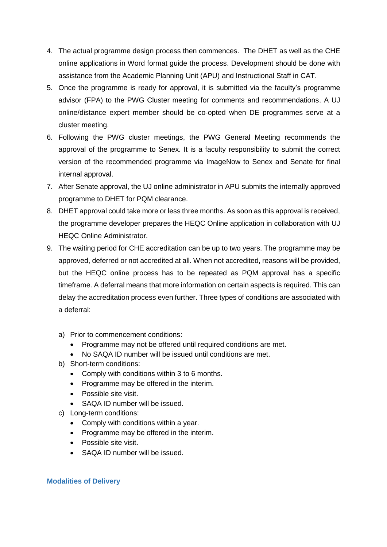- 4. The actual programme design process then commences. The DHET as well as the CHE online applications in Word format guide the process. Development should be done with assistance from the Academic Planning Unit (APU) and Instructional Staff in CAT.
- 5. Once the programme is ready for approval, it is submitted via the faculty's programme advisor (FPA) to the PWG Cluster meeting for comments and recommendations. A UJ online/distance expert member should be co-opted when DE programmes serve at a cluster meeting.
- 6. Following the PWG cluster meetings, the PWG General Meeting recommends the approval of the programme to Senex. It is a faculty responsibility to submit the correct version of the recommended programme via ImageNow to Senex and Senate for final internal approval.
- 7. After Senate approval, the UJ online administrator in APU submits the internally approved programme to DHET for PQM clearance.
- 8. DHET approval could take more or less three months. As soon as this approval is received, the programme developer prepares the HEQC Online application in collaboration with UJ HEQC Online Administrator.
- 9. The waiting period for CHE accreditation can be up to two years. The programme may be approved, deferred or not accredited at all. When not accredited, reasons will be provided, but the HEQC online process has to be repeated as PQM approval has a specific timeframe. A deferral means that more information on certain aspects is required. This can delay the accreditation process even further. Three types of conditions are associated with a deferral:
	- a) Prior to commencement conditions:
		- Programme may not be offered until required conditions are met.
		- No SAQA ID number will be issued until conditions are met.
	- b) Short-term conditions:
		- Comply with conditions within 3 to 6 months.
		- Programme may be offered in the interim.
		- Possible site visit.
		- SAQA ID number will be issued.
	- c) Long-term conditions:
		- Comply with conditions within a year.
		- Programme may be offered in the interim.
		- Possible site visit.
		- SAQA ID number will be issued.

#### <span id="page-10-0"></span>**Modalities of Delivery**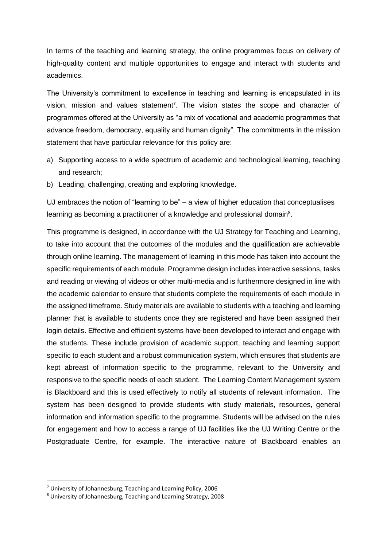In terms of the teaching and learning strategy, the online programmes focus on delivery of high-quality content and multiple opportunities to engage and interact with students and academics.

The University's commitment to excellence in teaching and learning is encapsulated in its vision, mission and values statement<sup>7</sup>. The vision states the scope and character of programmes offered at the University as "a mix of vocational and academic programmes that advance freedom, democracy, equality and human dignity". The commitments in the mission statement that have particular relevance for this policy are:

- a) Supporting access to a wide spectrum of academic and technological learning, teaching and research;
- b) Leading, challenging, creating and exploring knowledge.

UJ embraces the notion of "learning to be" – a view of higher education that conceptualises learning as becoming a practitioner of a knowledge and professional domain<sup>8</sup>.

This programme is designed, in accordance with the UJ Strategy for Teaching and Learning, to take into account that the outcomes of the modules and the qualification are achievable through online learning. The management of learning in this mode has taken into account the specific requirements of each module. Programme design includes interactive sessions, tasks and reading or viewing of videos or other multi-media and is furthermore designed in line with the academic calendar to ensure that students complete the requirements of each module in the assigned timeframe. Study materials are available to students with a teaching and learning planner that is available to students once they are registered and have been assigned their login details. Effective and efficient systems have been developed to interact and engage with the students. These include provision of academic support, teaching and learning support specific to each student and a robust communication system, which ensures that students are kept abreast of information specific to the programme, relevant to the University and responsive to the specific needs of each student. The Learning Content Management system is Blackboard and this is used effectively to notify all students of relevant information. The system has been designed to provide students with study materials, resources, general information and information specific to the programme. Students will be advised on the rules for engagement and how to access a range of UJ facilities like the UJ Writing Centre or the Postgraduate Centre, for example. The interactive nature of Blackboard enables an

1

 $<sup>7</sup>$  University of Johannesburg, Teaching and Learning Policy, 2006</sup>

<sup>8</sup> University of Johannesburg, Teaching and Learning Strategy, 2008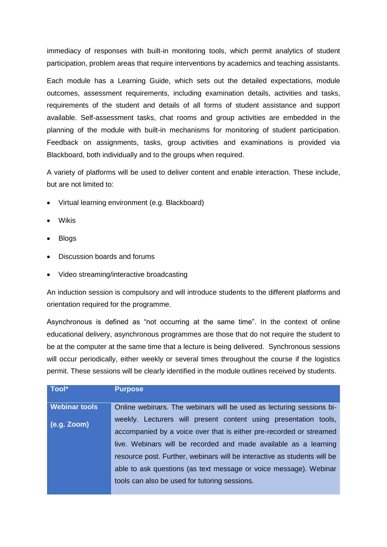immediacy of responses with built-in monitoring tools, which permit analytics of student participation, problem areas that require interventions by academics and teaching assistants.

Each module has a Learning Guide, which sets out the detailed expectations, module outcomes, assessment requirements, including examination details, activities and tasks, requirements of the student and details of all forms of student assistance and support available. Self-assessment tasks, chat rooms and group activities are embedded in the planning of the module with built-in mechanisms for monitoring of student participation. Feedback on assignments, tasks, group activities and examinations is provided via Blackboard, both individually and to the groups when required.

A variety of platforms will be used to deliver content and enable interaction. These include, but are not limited to:

- Virtual learning environment (e.g. Blackboard)
- Wikis
- Blogs
- Discussion boards and forums
- Video streaming/interactive broadcasting

An induction session is compulsory and will introduce students to the different platforms and orientation required for the programme.

Asynchronous is defined as "not occurring at the same time". In the context of online educational delivery, asynchronous programmes are those that do not require the student to be at the computer at the same time that a lecture is being delivered. Synchronous sessions will occur periodically, either weekly or several times throughout the course if the logistics permit. These sessions will be clearly identified in the module outlines received by students.

| Tool*                | <b>Purpose</b>                                                           |
|----------------------|--------------------------------------------------------------------------|
| <b>Webinar tools</b> | Online webinars. The webinars will be used as lecturing sessions bi-     |
| $(e.g. Zoom)$        | weekly. Lecturers will present content using presentation tools,         |
|                      | accompanied by a voice over that is either pre-recorded or streamed      |
|                      | live. Webinars will be recorded and made available as a learning         |
|                      | resource post. Further, webinars will be interactive as students will be |
|                      | able to ask questions (as text message or voice message). Webinar        |
|                      | tools can also be used for tutoring sessions.                            |
|                      |                                                                          |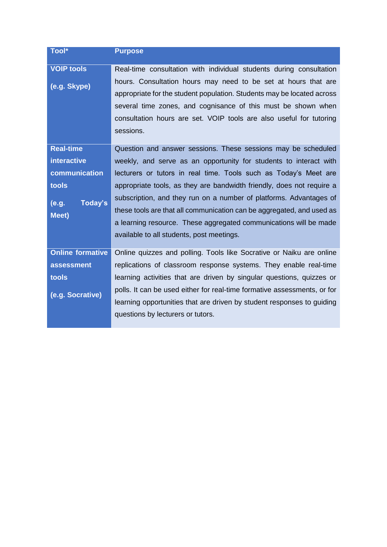| Tool*                   | <b>Purpose</b>                                                           |
|-------------------------|--------------------------------------------------------------------------|
| <b>VOIP tools</b>       | Real-time consultation with individual students during consultation      |
|                         | hours. Consultation hours may need to be set at hours that are           |
| (e.g. Skype)            | appropriate for the student population. Students may be located across   |
|                         |                                                                          |
|                         | several time zones, and cognisance of this must be shown when            |
|                         | consultation hours are set. VOIP tools are also useful for tutoring      |
|                         | sessions.                                                                |
| <b>Real-time</b>        | Question and answer sessions. These sessions may be scheduled            |
| <i>interactive</i>      | weekly, and serve as an opportunity for students to interact with        |
| communication           | lecturers or tutors in real time. Tools such as Today's Meet are         |
| tools                   | appropriate tools, as they are bandwidth friendly, does not require a    |
|                         | subscription, and they run on a number of platforms. Advantages of       |
| Today's<br>(e.g.        | these tools are that all communication can be aggregated, and used as    |
| <b>Meet</b> )           | a learning resource. These aggregated communications will be made        |
|                         | available to all students, post meetings.                                |
|                         |                                                                          |
| <b>Online formative</b> | Online quizzes and polling. Tools like Socrative or Naiku are online     |
| assessment              | replications of classroom response systems. They enable real-time        |
| tools                   | learning activities that are driven by singular questions, quizzes or    |
|                         | polls. It can be used either for real-time formative assessments, or for |
| (e.g. Socrative)        | learning opportunities that are driven by student responses to guiding   |
|                         | questions by lecturers or tutors.                                        |
|                         |                                                                          |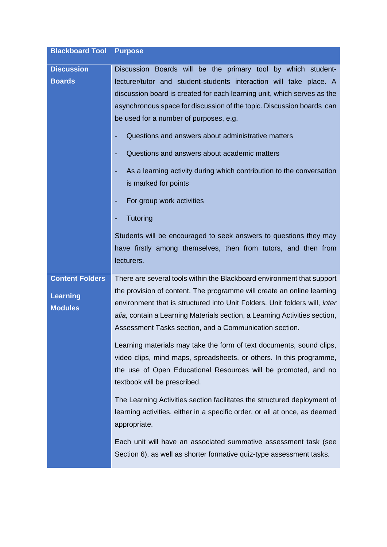| <b>Blackboard Tool</b>                                      | <b>Purpose</b>                                                                                                                                                                                                                                                                                                                                                                                                                                                                                                                                                                                                                                         |
|-------------------------------------------------------------|--------------------------------------------------------------------------------------------------------------------------------------------------------------------------------------------------------------------------------------------------------------------------------------------------------------------------------------------------------------------------------------------------------------------------------------------------------------------------------------------------------------------------------------------------------------------------------------------------------------------------------------------------------|
| <b>Discussion</b>                                           | Discussion Boards will be the primary tool by which student-                                                                                                                                                                                                                                                                                                                                                                                                                                                                                                                                                                                           |
| <b>Boards</b>                                               | lecturer/tutor and student-students interaction will take place. A<br>discussion board is created for each learning unit, which serves as the<br>asynchronous space for discussion of the topic. Discussion boards can<br>be used for a number of purposes, e.g.<br>Questions and answers about administrative matters<br>Questions and answers about academic matters<br>As a learning activity during which contribution to the conversation<br>is marked for points<br>For group work activities<br>Tutoring<br>Students will be encouraged to seek answers to questions they may<br>have firstly among themselves, then from tutors, and then from |
| <b>Content Folders</b><br><b>Learning</b><br><b>Modules</b> | lecturers.<br>There are several tools within the Blackboard environment that support<br>the provision of content. The programme will create an online learning<br>environment that is structured into Unit Folders. Unit folders will, inter<br>alia, contain a Learning Materials section, a Learning Activities section,<br>Assessment Tasks section, and a Communication section.                                                                                                                                                                                                                                                                   |
|                                                             | Learning materials may take the form of text documents, sound clips,<br>video clips, mind maps, spreadsheets, or others. In this programme,<br>the use of Open Educational Resources will be promoted, and no<br>textbook will be prescribed.                                                                                                                                                                                                                                                                                                                                                                                                          |
|                                                             | The Learning Activities section facilitates the structured deployment of<br>learning activities, either in a specific order, or all at once, as deemed<br>appropriate.                                                                                                                                                                                                                                                                                                                                                                                                                                                                                 |
|                                                             | Each unit will have an associated summative assessment task (see<br>Section 6), as well as shorter formative quiz-type assessment tasks.                                                                                                                                                                                                                                                                                                                                                                                                                                                                                                               |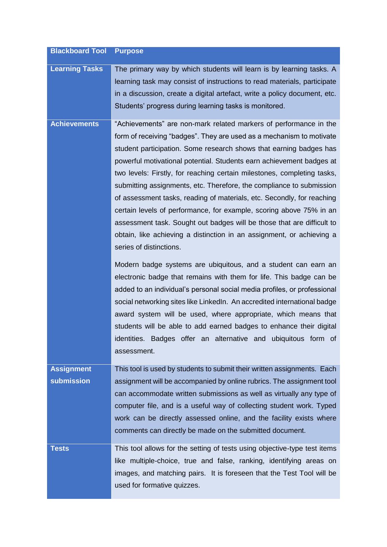| <b>Blackboard Tool</b>                 | <b>Purpose</b>                                                                                                                                                                                                                                                                                                                                                                                                                                                                                                                                                                                                                                                                                                                                                                                                                                                                                                                                                                                                                                                                                                                                                                                                                                                                                       |
|----------------------------------------|------------------------------------------------------------------------------------------------------------------------------------------------------------------------------------------------------------------------------------------------------------------------------------------------------------------------------------------------------------------------------------------------------------------------------------------------------------------------------------------------------------------------------------------------------------------------------------------------------------------------------------------------------------------------------------------------------------------------------------------------------------------------------------------------------------------------------------------------------------------------------------------------------------------------------------------------------------------------------------------------------------------------------------------------------------------------------------------------------------------------------------------------------------------------------------------------------------------------------------------------------------------------------------------------------|
| <b>Learning Tasks</b>                  | The primary way by which students will learn is by learning tasks. A<br>learning task may consist of instructions to read materials, participate<br>in a discussion, create a digital artefact, write a policy document, etc.<br>Students' progress during learning tasks is monitored.                                                                                                                                                                                                                                                                                                                                                                                                                                                                                                                                                                                                                                                                                                                                                                                                                                                                                                                                                                                                              |
| <b>Achievements</b>                    | "Achievements" are non-mark related markers of performance in the<br>form of receiving "badges". They are used as a mechanism to motivate<br>student participation. Some research shows that earning badges has<br>powerful motivational potential. Students earn achievement badges at<br>two levels: Firstly, for reaching certain milestones, completing tasks,<br>submitting assignments, etc. Therefore, the compliance to submission<br>of assessment tasks, reading of materials, etc. Secondly, for reaching<br>certain levels of performance, for example, scoring above 75% in an<br>assessment task. Sought out badges will be those that are difficult to<br>obtain, like achieving a distinction in an assignment, or achieving a<br>series of distinctions.<br>Modern badge systems are ubiquitous, and a student can earn an<br>electronic badge that remains with them for life. This badge can be<br>added to an individual's personal social media profiles, or professional<br>social networking sites like LinkedIn. An accredited international badge<br>award system will be used, where appropriate, which means that<br>students will be able to add earned badges to enhance their digital<br>identities. Badges offer an alternative and ubiquitous form of<br>assessment. |
| <b>Assignment</b><br><b>submission</b> | This tool is used by students to submit their written assignments. Each<br>assignment will be accompanied by online rubrics. The assignment tool<br>can accommodate written submissions as well as virtually any type of<br>computer file, and is a useful way of collecting student work. Typed<br>work can be directly assessed online, and the facility exists where<br>comments can directly be made on the submitted document.                                                                                                                                                                                                                                                                                                                                                                                                                                                                                                                                                                                                                                                                                                                                                                                                                                                                  |
| <b>Tests</b>                           | This tool allows for the setting of tests using objective-type test items<br>like multiple-choice, true and false, ranking, identifying areas on<br>images, and matching pairs. It is foreseen that the Test Tool will be<br>used for formative quizzes.                                                                                                                                                                                                                                                                                                                                                                                                                                                                                                                                                                                                                                                                                                                                                                                                                                                                                                                                                                                                                                             |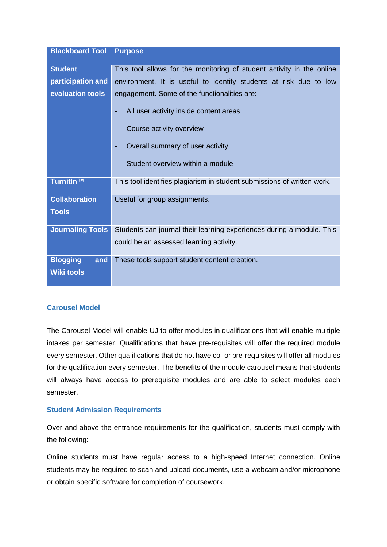| <b>Blackboard Tool</b>  | <b>Purpose</b>                                                          |  |
|-------------------------|-------------------------------------------------------------------------|--|
| <b>Student</b>          | This tool allows for the monitoring of student activity in the online   |  |
| participation and       | environment. It is useful to identify students at risk due to low       |  |
|                         |                                                                         |  |
| evaluation tools        | engagement. Some of the functionalities are:                            |  |
|                         | All user activity inside content areas                                  |  |
|                         | Course activity overview                                                |  |
|                         | Overall summary of user activity                                        |  |
|                         | Student overview within a module                                        |  |
| TurnitIn™               | This tool identifies plagiarism in student submissions of written work. |  |
| <b>Collaboration</b>    | Useful for group assignments.                                           |  |
| <b>Tools</b>            |                                                                         |  |
| <b>Journaling Tools</b> | Students can journal their learning experiences during a module. This   |  |
|                         | could be an assessed learning activity.                                 |  |
| <b>Blogging</b><br>and  | These tools support student content creation.                           |  |
| <b>Wiki tools</b>       |                                                                         |  |

#### <span id="page-16-0"></span>**Carousel Model**

The Carousel Model will enable UJ to offer modules in qualifications that will enable multiple intakes per semester. Qualifications that have pre-requisites will offer the required module every semester. Other qualifications that do not have co- or pre-requisites will offer all modules for the qualification every semester. The benefits of the module carousel means that students will always have access to prerequisite modules and are able to select modules each semester.

#### <span id="page-16-1"></span>**Student Admission Requirements**

Over and above the entrance requirements for the qualification, students must comply with the following:

Online students must have regular access to a high-speed Internet connection. Online students may be required to scan and upload documents, use a webcam and/or microphone or obtain specific software for completion of coursework.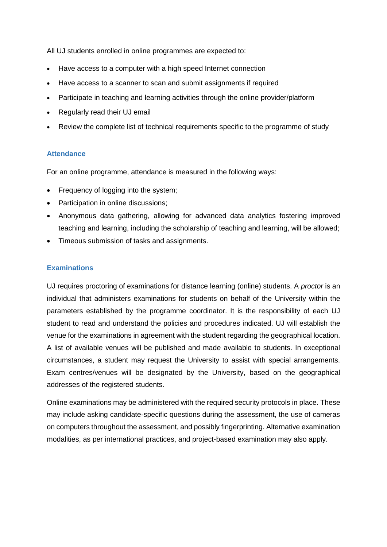All UJ students enrolled in online programmes are expected to:

- Have access to a computer with a high speed Internet connection
- Have access to a scanner to scan and submit assignments if required
- Participate in teaching and learning activities through the online provider/platform
- Regularly read their UJ email
- Review the complete list of technical requirements specific to the programme of study

#### <span id="page-17-0"></span>**Attendance**

For an online programme, attendance is measured in the following ways:

- Frequency of logging into the system;
- Participation in online discussions;
- Anonymous data gathering, allowing for advanced data analytics fostering improved teaching and learning, including the scholarship of teaching and learning, will be allowed;
- Timeous submission of tasks and assignments.

#### <span id="page-17-1"></span>**Examinations**

UJ requires proctoring of examinations for distance learning (online) students. A *proctor* is an individual that administers examinations for students on behalf of the University within the parameters established by the programme coordinator. It is the responsibility of each UJ student to read and understand the policies and procedures indicated. UJ will establish the venue for the examinations in agreement with the student regarding the geographical location. A list of available venues will be published and made available to students. In exceptional circumstances, a student may request the University to assist with special arrangements. Exam centres/venues will be designated by the University, based on the geographical addresses of the registered students.

Online examinations may be administered with the required security protocols in place. These may include asking candidate-specific questions during the assessment, the use of cameras on computers throughout the assessment, and possibly fingerprinting. Alternative examination modalities, as per international practices, and project-based examination may also apply.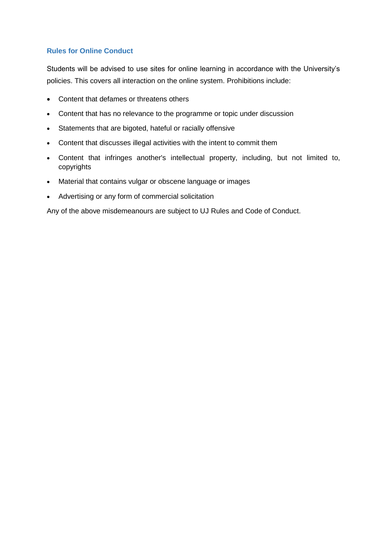#### <span id="page-18-0"></span>**Rules for Online Conduct**

Students will be advised to use sites for online learning in accordance with the University's policies. This covers all interaction on the online system. Prohibitions include:

- Content that defames or threatens others
- Content that has no relevance to the programme or topic under discussion
- Statements that are bigoted, hateful or racially offensive
- Content that discusses illegal activities with the intent to commit them
- Content that infringes another's intellectual property, including, but not limited to, copyrights
- Material that contains vulgar or obscene language or images
- Advertising or any form of commercial solicitation

Any of the above misdemeanours are subject to UJ Rules and Code of Conduct.